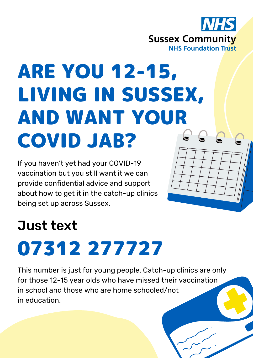

## ARE YOU 12-15, LIVING IN SUSSEX, AND WANT YOUR  $C C C$ COVID JAB?

If you haven't yet had your COVID-19 vaccination but you still want it we can provide confidential advice and support about how to get it in the catch-up clinics being set up across Sussex.

## Just text 07312 277727

This number is just for young people. Catch-up clinics are only for those 12-15 year olds who have missed their vaccination in school and those who are home schooled/not in education.